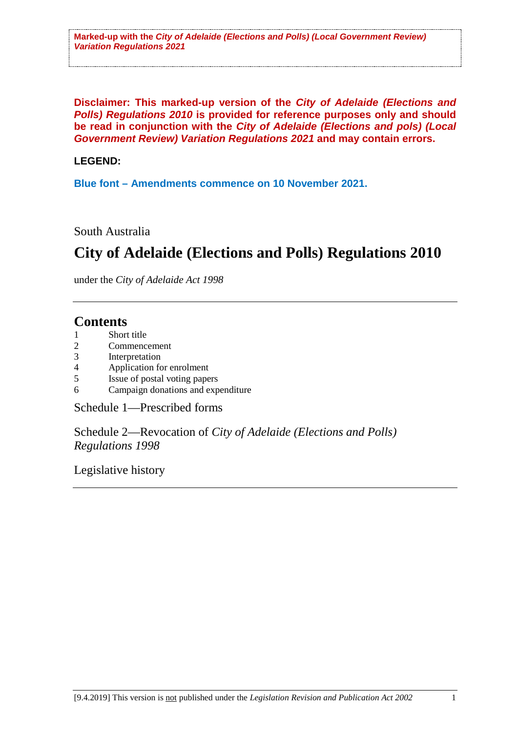**Disclaimer: This marked-up version of the** *City of Adelaide (Elections and Polls) Regulations 2010* **is provided for reference purposes only and should be read in conjunction with the** *City of Adelaide (Elections and pols) (Local Government Review) Variation Regulations 2021* **and may contain errors.**

# **LEGEND:**

**Blue font – Amendments commence on 10 November 2021.**

South Australia

# **City of Adelaide (Elections and Polls) Regulations 2010**

under the *City of Adelaide Act 1998*

# **Contents**

- 1 Short title
- 2 Commencement<br>3 Interpretation
- 3 Interpretation<br>4 Application fo
- 4 Application for enrolment
- 5 Issue of postal voting papers
- 6 Campaign donations and expenditure

Schedule 1—Prescribed forms

Schedule 2—Revocation of *City of Adelaide (Elections and Polls) Regulations 1998*

Legislative history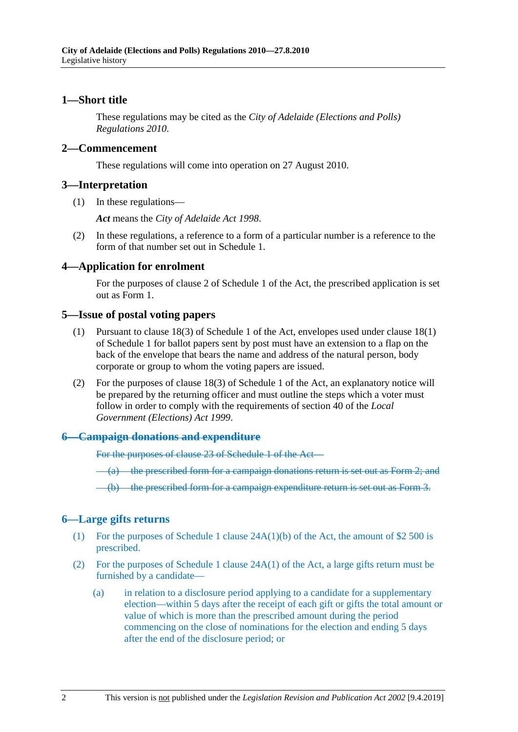## **1—Short title**

These regulations may be cited as the *City of Adelaide (Elections and Polls) Regulations 2010*.

#### **2—Commencement**

These regulations will come into operation on 27 August 2010.

#### **3—Interpretation**

(1) In these regulations—

*Act* means the *City of Adelaide Act 1998*.

(2) In these regulations, a reference to a form of a particular number is a reference to the form of that number set out in Schedule 1.

#### **4—Application for enrolment**

For the purposes of clause 2 of Schedule 1 of the Act, the prescribed application is set out as Form 1.

#### **5—Issue of postal voting papers**

- (1) Pursuant to clause 18(3) of Schedule 1 of the Act, envelopes used under clause 18(1) of Schedule 1 for ballot papers sent by post must have an extension to a flap on the back of the envelope that bears the name and address of the natural person, body corporate or group to whom the voting papers are issued.
- (2) For the purposes of clause 18(3) of Schedule 1 of the Act, an explanatory notice will be prepared by the returning officer and must outline the steps which a voter must follow in order to comply with the requirements of section 40 of the *Local Government (Elections) Act 1999*.

#### **6—Campaign donations and expenditure**

For the purposes of clause 23 of Schedule 1 of the Act—

(a) the prescribed form for a campaign donations return is set out as Form 2; and

(b) the prescribed form for a campaign expenditure return is set out as Form 3.

## **6—Large gifts returns**

- (1) For the purposes of Schedule 1 clause 24A(1)(b) of the Act, the amount of \$2 500 is prescribed.
- (2) For the purposes of Schedule 1 clause 24A(1) of the Act, a large gifts return must be furnished by a candidate—
	- (a) in relation to a disclosure period applying to a candidate for a supplementary election—within 5 days after the receipt of each gift or gifts the total amount or value of which is more than the prescribed amount during the period commencing on the close of nominations for the election and ending 5 days after the end of the disclosure period; or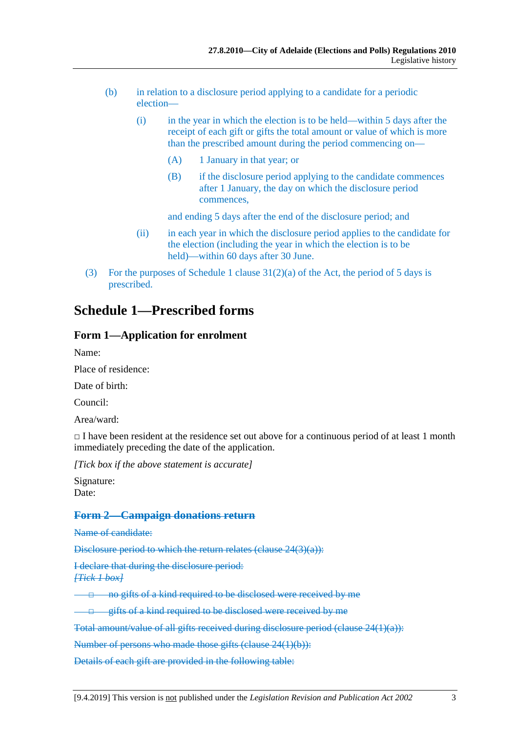- (b) in relation to a disclosure period applying to a candidate for a periodic election—
	- (i) in the year in which the election is to be held—within 5 days after the receipt of each gift or gifts the total amount or value of which is more than the prescribed amount during the period commencing on—
		- (A) 1 January in that year; or
		- (B) if the disclosure period applying to the candidate commences after 1 January, the day on which the disclosure period commences,

and ending 5 days after the end of the disclosure period; and

- (ii) in each year in which the disclosure period applies to the candidate for the election (including the year in which the election is to be held)—within 60 days after 30 June.
- (3) For the purposes of Schedule 1 clause  $31(2)(a)$  of the Act, the period of 5 days is prescribed.

# **Schedule 1—Prescribed forms**

## **Form 1—Application for enrolment**

Name:

Place of residence:

Date of birth:

Council:

Area/ward:

 $\Box$  I have been resident at the residence set out above for a continuous period of at least 1 month immediately preceding the date of the application.

*[Tick box if the above statement is accurate]*

Signature: Date:

## **Form 2—Campaign donations return**

Name of candidate:

Disclosure period to which the return relates (clause 24(3)(a)):

I declare that during the disclosure period: *[Tick 1 box]*

□ no gifts of a kind required to be disclosed were received by me

□ gifts of a kind required to be disclosed were received by me

Total amount/value of all gifts received during disclosure period (clause 24(1)(a)):

Number of persons who made those gifts (clause 24(1)(b)):

Details of each gift are provided in the following table: